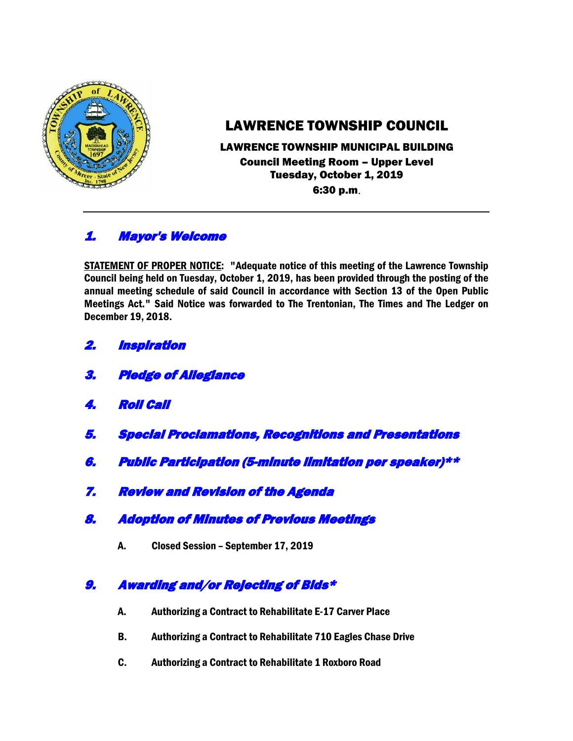

# LAWRENCE TOWNSHIP COUNCIL

### LAWRENCE TOWNSHIP MUNICIPAL BUILDING Council Meeting Room – Upper Level Tuesday, October 1, 2019 6:30 p.m.

# 1. Mayor's Welcome

STATEMENT OF PROPER NOTICE: "Adequate notice of this meeting of the Lawrence Township Council being held on Tuesday, October 1, 2019, has been provided through the posting of the annual meeting schedule of said Council in accordance with Section 13 of the Open Public Meetings Act." Said Notice was forwarded to The Trentonian, The Times and The Ledger on December 19, 2018.

- 2. Inspiration
- 3. Pledge of Allegiance
- 4. Roll Call
- 5. Special Proclamations, Recognitions and Presentations
- 6. Public Participation (5-minute limitation per speaker)\*\*
- 7. Review and Revision of the Agenda
- 8. Adoption of Minutes of Previous Meetings
	- A. Closed Session September 17, 2019

# 9. Awarding and/or Rejecting of Bids\*

- A. Authorizing a Contract to Rehabilitate E-17 Carver Place
- B. Authorizing a Contract to Rehabilitate 710 Eagles Chase Drive
- C. Authorizing a Contract to Rehabilitate 1 Roxboro Road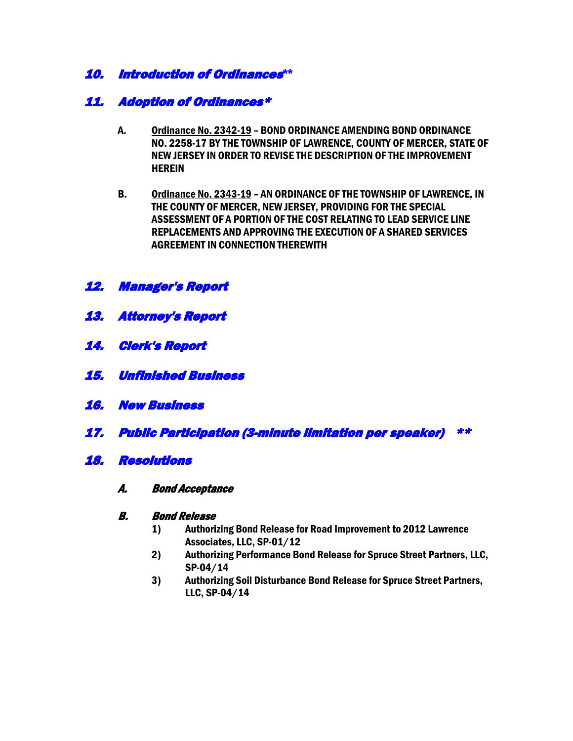### 10. Introduction of Ordinances**\*\***

### 11. Adoption of Ordinances\*

- A. Ordinance No. 2342-19 BOND ORDINANCE AMENDING BOND ORDINANCE NO. 2258-17 BY THE TOWNSHIP OF LAWRENCE, COUNTY OF MERCER, STATE OF NEW JERSEY IN ORDER TO REVISE THE DESCRIPTION OF THE IMPROVEMENT **HEREIN**
- B. Ordinance No. 2343-19 AN ORDINANCE OF THE TOWNSHIP OF LAWRENCE, IN THE COUNTY OF MERCER, NEW JERSEY, PROVIDING FOR THE SPECIAL ASSESSMENT OF A PORTION OF THE COST RELATING TO LEAD SERVICE LINE REPLACEMENTS AND APPROVING THE EXECUTION OF A SHARED SERVICES AGREEMENT IN CONNECTION THEREWITH

### 12. Manager's Report

- 13. Attorney's Report
- 14. Clerk's Report
- 15. Unfinished Business
- 16. New Business
- 17. Public Participation (3-minute limitation per speaker) \*\*

#### 18. Resolutions

A. Bond Acceptance

#### B. Bond Release

- 1) Authorizing Bond Release for Road Improvement to 2012 Lawrence Associates, LLC, SP-01/12
- 2) Authorizing Performance Bond Release for Spruce Street Partners, LLC, SP-04/14
- 3) Authorizing Soil Disturbance Bond Release for Spruce Street Partners, LLC, SP-04/14